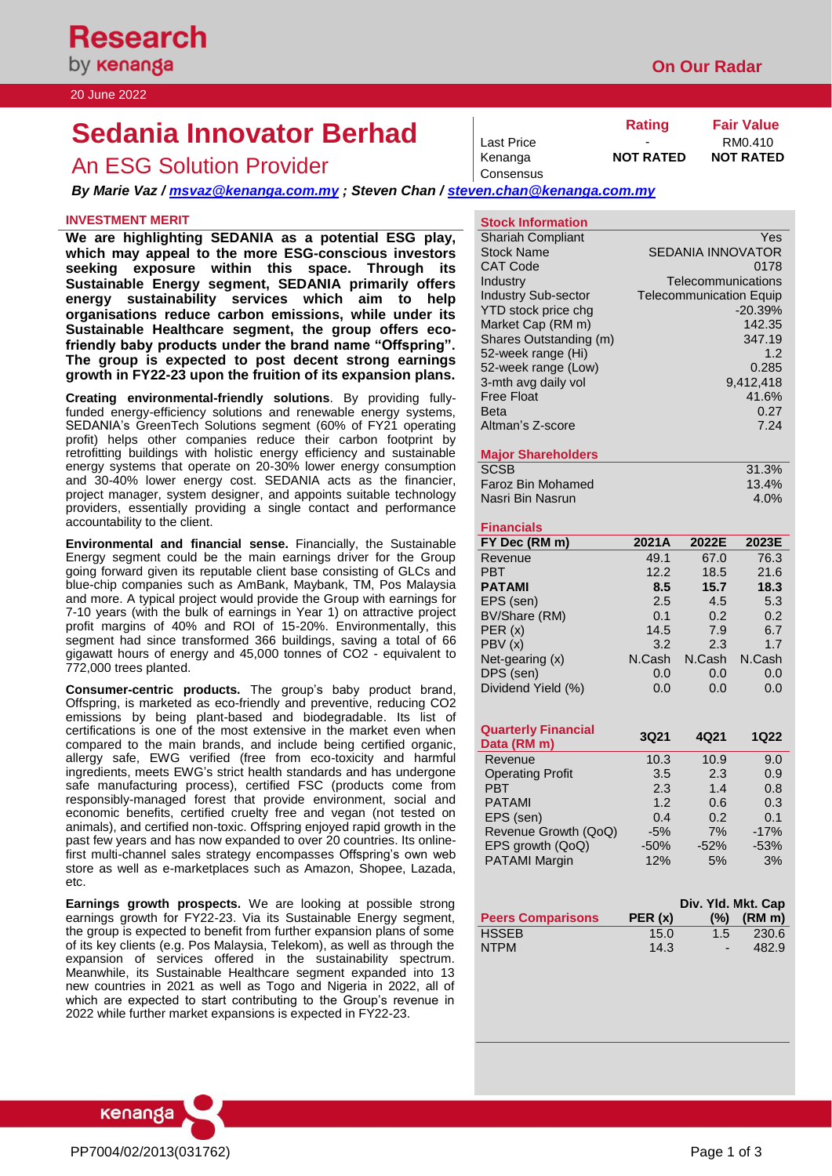# **Sedania Innovator Berhad Rating Rating Fair Value RM0.410**

## An ESG Solution Provider **Note And Access NOT RATED** NOT RATED

*By Marie Vaz / [msvaz@kenanga.com.my](mailto:msvaz@kenanga.com.my) ; Steven Chan / [steven.chan@kenanga.com.my](mailto:steven.chan@kenanga.com.my)*

## **INVESTMENT MERIT**

**We are highlighting SEDANIA as a potential ESG play, which may appeal to the more ESG-conscious investors seeking exposure within this space. Through its Sustainable Energy segment, SEDANIA primarily offers energy sustainability services which aim to help organisations reduce carbon emissions, while under its Sustainable Healthcare segment, the group offers ecofriendly baby products under the brand name "Offspring". The group is expected to post decent strong earnings growth in FY22-23 upon the fruition of its expansion plans.**

**Creating environmental-friendly solutions**. By providing fullyfunded energy-efficiency solutions and renewable energy systems, SEDANIA's GreenTech Solutions segment (60% of FY21 operating profit) helps other companies reduce their carbon footprint by retrofitting buildings with holistic energy efficiency and sustainable energy systems that operate on 20-30% lower energy consumption and 30-40% lower energy cost. SEDANIA acts as the financier, project manager, system designer, and appoints suitable technology providers, essentially providing a single contact and performance accountability to the client.

**Environmental and financial sense.** Financially, the Sustainable Energy segment could be the main earnings driver for the Group going forward given its reputable client base consisting of GLCs and blue-chip companies such as AmBank, Maybank, TM, Pos Malaysia and more. A typical project would provide the Group with earnings for 7-10 years (with the bulk of earnings in Year 1) on attractive project profit margins of 40% and ROI of 15-20%. Environmentally, this segment had since transformed 366 buildings, saving a total of 66 gigawatt hours of energy and 45,000 tonnes of CO2 - equivalent to 772,000 trees planted.

**Consumer-centric products.** The group's baby product brand, Offspring, is marketed as eco-friendly and preventive, reducing CO2 emissions by being plant-based and biodegradable. Its list of certifications is one of the most extensive in the market even when compared to the main brands, and include being certified organic, allergy safe, EWG verified (free from eco-toxicity and harmful ingredients, meets EWG's strict health standards and has undergone safe manufacturing process), certified FSC (products come from responsibly-managed forest that provide environment, social and economic benefits, certified cruelty free and vegan (not tested on animals), and certified non-toxic. Offspring enjoyed rapid growth in the past few years and has now expanded to over 20 countries. Its onlinefirst multi-channel sales strategy encompasses Offspring's own web store as well as e-marketplaces such as Amazon, Shopee, Lazada, etc.

**Earnings growth prospects.** We are looking at possible strong earnings growth for FY22-23. Via its Sustainable Energy segment, the group is expected to benefit from further expansion plans of some of its key clients (e.g. Pos Malaysia, Telekom), as well as through the expansion of services offered in the sustainability spectrum. Meanwhile, its Sustainable Healthcare segment expanded into 13 new countries in 2021 as well as Togo and Nigeria in 2022, all of which are expected to start contributing to the Group's revenue in 2022 while further market expansions is expected in FY22-23.



Last Price

Consensus

**Stock Information**

| <b>Stock Name</b>          | <b>SEDANIA INNOVATOR</b>       |
|----------------------------|--------------------------------|
| CAT Code                   | 0178                           |
| Industry                   | Telecommunications             |
| <b>Industry Sub-sector</b> | <b>Telecommunication Equip</b> |
| YTD stock price chg        | $-20.39%$                      |
| Market Cap (RM m)          | 142.35                         |
| Shares Outstanding (m)     | 347.19                         |
| 52-week range (Hi)         | 1.2                            |
| 52-week range (Low)        | 0.285                          |
| 3-mth avg daily vol        | 9,412,418                      |
| <b>Free Float</b>          | 41.6%                          |
| <b>Beta</b>                | 0.27                           |
| Altman's Z-score           | 7.24                           |
|                            |                                |
|                            |                                |

## **Major Shareholders**

| <b>SCSB</b>       | 31.3%    |
|-------------------|----------|
| Faroz Bin Mohamed | $13.4\%$ |
| Nasri Bin Nasrun  | $4.0\%$  |

## **Financials**

| FY Dec (RM m)      | 2021A  | 2022E  | 2023E  |
|--------------------|--------|--------|--------|
| Revenue            | 49.1   | 67.0   | 76.3   |
| <b>PBT</b>         | 12.2   | 18.5   | 21.6   |
| <b>PATAMI</b>      | 8.5    | 15.7   | 18.3   |
| EPS (sen)          | 2.5    | 4.5    | 5.3    |
| BV/Share (RM)      | 0.1    | 0.2    | 0.2    |
| PER(x)             | 14.5   | 7.9    | 6.7    |
| PBV (x)            | 3.2    | 2.3    | 1.7    |
| Net-gearing $(x)$  | N.Cash | N.Cash | N.Cash |
| DPS (sen)          | 0.0    | 0.0    | 0.0    |
| Dividend Yield (%) | 0.0    | 0.0    | 0.0    |

| <b>Quarterly Financial</b><br>Data (RM m) | 3Q21   | 4Q21   | 1Q22   |
|-------------------------------------------|--------|--------|--------|
| Revenue                                   | 10.3   | 10.9   | 9.0    |
| <b>Operating Profit</b>                   | 3.5    | 2.3    | 0.9    |
| <b>PBT</b>                                | 2.3    | 1.4    | 0.8    |
| <b>PATAMI</b>                             | 1.2    | 0.6    | 0.3    |
| EPS (sen)                                 | 0.4    | 0.2    | 0.1    |
| Revenue Growth (QoQ)                      | $-5%$  | 7%     | $-17%$ |
| EPS growth (QoQ)                          | $-50%$ | $-52%$ | $-53%$ |
| <b>PATAMI Margin</b>                      | 12%    | 5%     | 3%     |

|                          |        |               | Div. Yld. Mkt. Cap |
|--------------------------|--------|---------------|--------------------|
| <b>Peers Comparisons</b> | PER(x) |               | $(\%)$ (RM m)      |
| <b>HSSEB</b>             | 15.0   | $1.5^{\circ}$ | -230.6             |
| <b>NTPM</b>              | 14.3   |               | 482.9              |



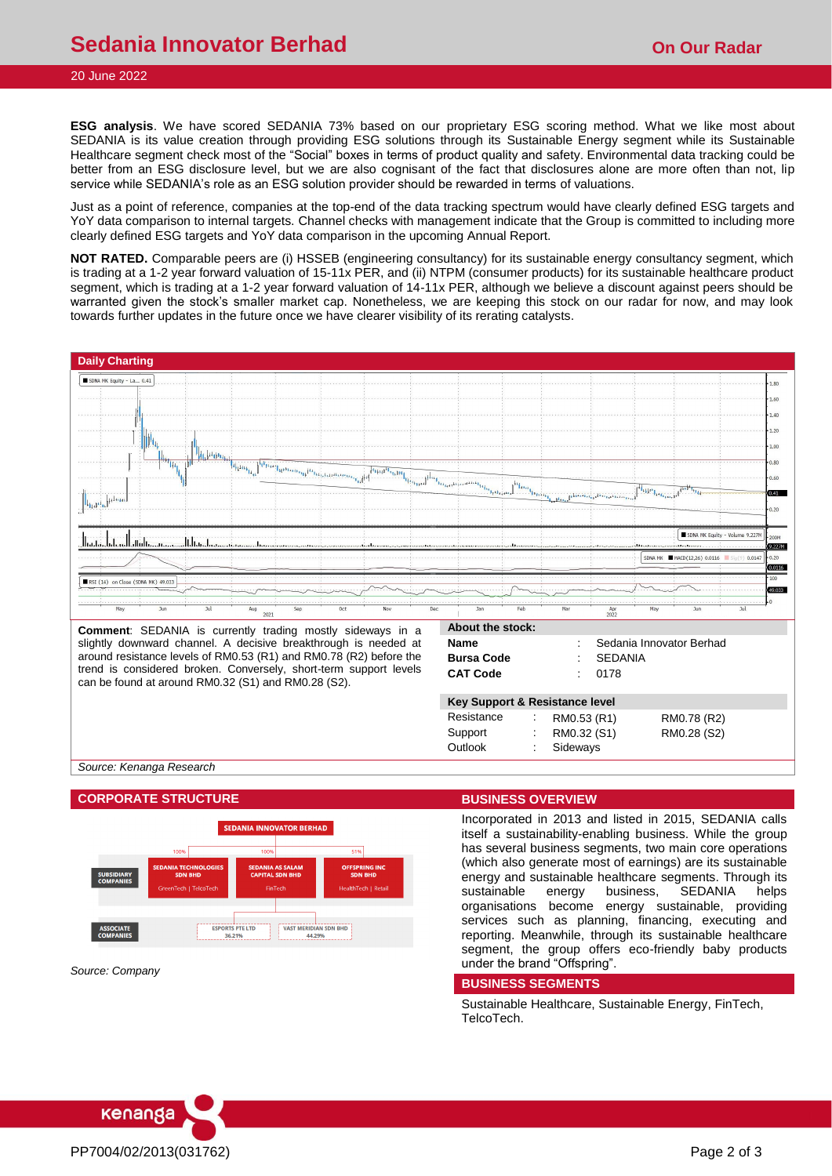## **Sedania Innovator Berhad Construction Congress on Our Radar**

## 20 June 2022

**ESG analysis**. We have scored SEDANIA 73% based on our proprietary ESG scoring method. What we like most about SEDANIA is its value creation through providing ESG solutions through its Sustainable Energy segment while its Sustainable Healthcare segment check most of the "Social" boxes in terms of product quality and safety. Environmental data tracking could be better from an ESG disclosure level, but we are also cognisant of the fact that disclosures alone are more often than not, lip service while SEDANIA's role as an ESG solution provider should be rewarded in terms of valuations.

Just as a point of reference, companies at the top-end of the data tracking spectrum would have clearly defined ESG targets and YoY data comparison to internal targets. Channel checks with management indicate that the Group is committed to including more clearly defined ESG targets and YoY data comparison in the upcoming Annual Report.

**NOT RATED.** Comparable peers are (i) HSSEB (engineering consultancy) for its sustainable energy consultancy segment, which is trading at a 1-2 year forward valuation of 15-11x PER, and (ii) NTPM (consumer products) for its sustainable healthcare product segment, which is trading at a 1-2 year forward valuation of 14-11x PER, although we believe a discount against peers should be warranted given the stock's smaller market cap. Nonetheless, we are keeping this stock on our radar for now, and may look towards further updates in the future once we have clearer visibility of its rerating catalysts.



*Source: Kenanga Research*

### **CORPORATE STRUCTURE BUSINESS OVERVIEW**



*Source: Company*

Incorporated in 2013 and listed in 2015, SEDANIA calls itself a sustainability-enabling business. While the group has several business segments, two main core operations (which also generate most of earnings) are its sustainable energy and sustainable healthcare segments. Through its sustainable energy business, SEDANIA helps organisations become energy sustainable, providing services such as planning, financing, executing and reporting. Meanwhile, through its sustainable healthcare segment, the group offers eco-friendly baby products under the brand "Offspring".

#### **BUSINESS SEGMENTS**

Sustainable Healthcare, Sustainable Energy, FinTech, TelcoTech.